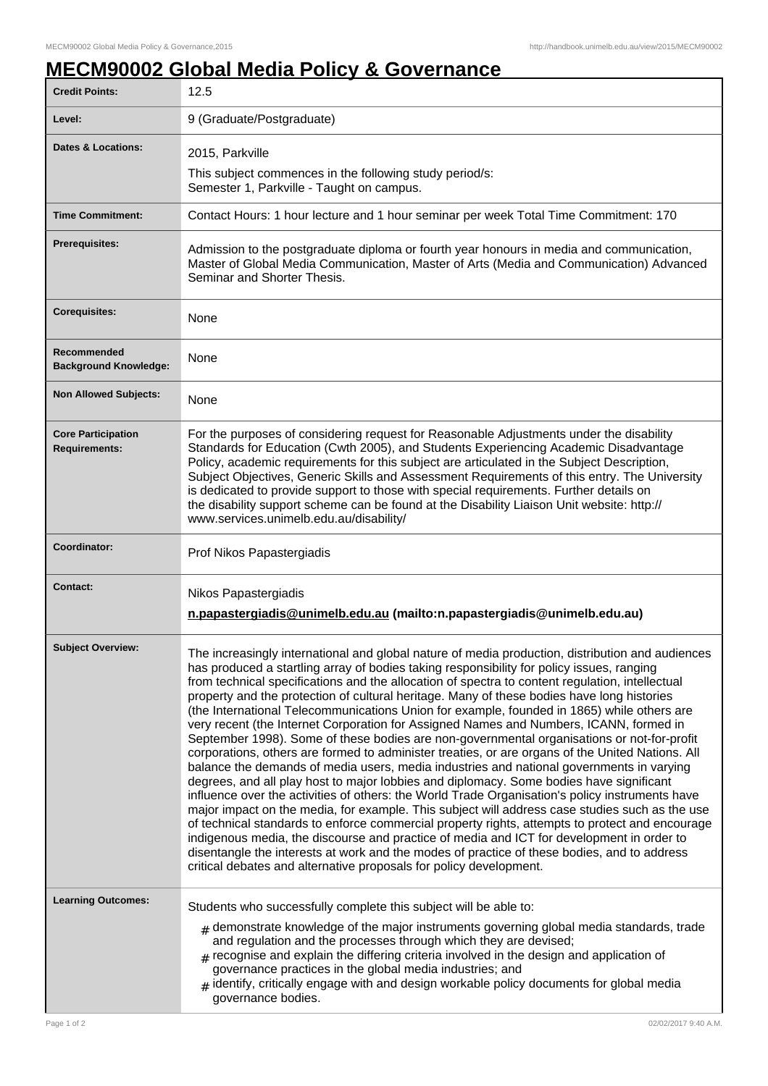## **MECM90002 Global Media Policy & Governance**

| <b>Credit Points:</b>                             | 12.5                                                                                                                                                                                                                                                                                                                                                                                                                                                                                                                                                                                                                                                                                                                                                                                                                                                                                                                                                                                                                                                                                                                                                                                                                                                                                                                                                                                                                                                                                                                                                      |
|---------------------------------------------------|-----------------------------------------------------------------------------------------------------------------------------------------------------------------------------------------------------------------------------------------------------------------------------------------------------------------------------------------------------------------------------------------------------------------------------------------------------------------------------------------------------------------------------------------------------------------------------------------------------------------------------------------------------------------------------------------------------------------------------------------------------------------------------------------------------------------------------------------------------------------------------------------------------------------------------------------------------------------------------------------------------------------------------------------------------------------------------------------------------------------------------------------------------------------------------------------------------------------------------------------------------------------------------------------------------------------------------------------------------------------------------------------------------------------------------------------------------------------------------------------------------------------------------------------------------------|
| Level:                                            | 9 (Graduate/Postgraduate)                                                                                                                                                                                                                                                                                                                                                                                                                                                                                                                                                                                                                                                                                                                                                                                                                                                                                                                                                                                                                                                                                                                                                                                                                                                                                                                                                                                                                                                                                                                                 |
| Dates & Locations:                                | 2015, Parkville                                                                                                                                                                                                                                                                                                                                                                                                                                                                                                                                                                                                                                                                                                                                                                                                                                                                                                                                                                                                                                                                                                                                                                                                                                                                                                                                                                                                                                                                                                                                           |
|                                                   | This subject commences in the following study period/s:<br>Semester 1, Parkville - Taught on campus.                                                                                                                                                                                                                                                                                                                                                                                                                                                                                                                                                                                                                                                                                                                                                                                                                                                                                                                                                                                                                                                                                                                                                                                                                                                                                                                                                                                                                                                      |
| <b>Time Commitment:</b>                           | Contact Hours: 1 hour lecture and 1 hour seminar per week Total Time Commitment: 170                                                                                                                                                                                                                                                                                                                                                                                                                                                                                                                                                                                                                                                                                                                                                                                                                                                                                                                                                                                                                                                                                                                                                                                                                                                                                                                                                                                                                                                                      |
| <b>Prerequisites:</b>                             | Admission to the postgraduate diploma or fourth year honours in media and communication,<br>Master of Global Media Communication, Master of Arts (Media and Communication) Advanced<br>Seminar and Shorter Thesis.                                                                                                                                                                                                                                                                                                                                                                                                                                                                                                                                                                                                                                                                                                                                                                                                                                                                                                                                                                                                                                                                                                                                                                                                                                                                                                                                        |
| <b>Corequisites:</b>                              | None                                                                                                                                                                                                                                                                                                                                                                                                                                                                                                                                                                                                                                                                                                                                                                                                                                                                                                                                                                                                                                                                                                                                                                                                                                                                                                                                                                                                                                                                                                                                                      |
| Recommended<br><b>Background Knowledge:</b>       | None                                                                                                                                                                                                                                                                                                                                                                                                                                                                                                                                                                                                                                                                                                                                                                                                                                                                                                                                                                                                                                                                                                                                                                                                                                                                                                                                                                                                                                                                                                                                                      |
| <b>Non Allowed Subjects:</b>                      | None                                                                                                                                                                                                                                                                                                                                                                                                                                                                                                                                                                                                                                                                                                                                                                                                                                                                                                                                                                                                                                                                                                                                                                                                                                                                                                                                                                                                                                                                                                                                                      |
| <b>Core Participation</b><br><b>Requirements:</b> | For the purposes of considering request for Reasonable Adjustments under the disability<br>Standards for Education (Cwth 2005), and Students Experiencing Academic Disadvantage<br>Policy, academic requirements for this subject are articulated in the Subject Description,<br>Subject Objectives, Generic Skills and Assessment Requirements of this entry. The University<br>is dedicated to provide support to those with special requirements. Further details on<br>the disability support scheme can be found at the Disability Liaison Unit website: http://<br>www.services.unimelb.edu.au/disability/                                                                                                                                                                                                                                                                                                                                                                                                                                                                                                                                                                                                                                                                                                                                                                                                                                                                                                                                          |
| Coordinator:                                      | Prof Nikos Papastergiadis                                                                                                                                                                                                                                                                                                                                                                                                                                                                                                                                                                                                                                                                                                                                                                                                                                                                                                                                                                                                                                                                                                                                                                                                                                                                                                                                                                                                                                                                                                                                 |
| <b>Contact:</b>                                   | Nikos Papastergiadis<br>n.papastergiadis@unimelb.edu.au (mailto:n.papastergiadis@unimelb.edu.au)                                                                                                                                                                                                                                                                                                                                                                                                                                                                                                                                                                                                                                                                                                                                                                                                                                                                                                                                                                                                                                                                                                                                                                                                                                                                                                                                                                                                                                                          |
| <b>Subject Overview:</b>                          | The increasingly international and global nature of media production, distribution and audiences<br>has produced a startling array of bodies taking responsibility for policy issues, ranging<br>from technical specifications and the allocation of spectra to content regulation, intellectual<br>property and the protection of cultural heritage. Many of these bodies have long histories<br>(the International Telecommunications Union for example, founded in 1865) while others are<br>very recent (the Internet Corporation for Assigned Names and Numbers, ICANN, formed in<br>September 1998). Some of these bodies are non-governmental organisations or not-for-profit<br>corporations, others are formed to administer treaties, or are organs of the United Nations. All<br>balance the demands of media users, media industries and national governments in varying<br>degrees, and all play host to major lobbies and diplomacy. Some bodies have significant<br>influence over the activities of others: the World Trade Organisation's policy instruments have<br>major impact on the media, for example. This subject will address case studies such as the use<br>of technical standards to enforce commercial property rights, attempts to protect and encourage<br>indigenous media, the discourse and practice of media and ICT for development in order to<br>disentangle the interests at work and the modes of practice of these bodies, and to address<br>critical debates and alternative proposals for policy development. |
| <b>Learning Outcomes:</b>                         | Students who successfully complete this subject will be able to:<br>$_{\#}$ demonstrate knowledge of the major instruments governing global media standards, trade<br>and regulation and the processes through which they are devised;<br>$#$ recognise and explain the differing criteria involved in the design and application of<br>governance practices in the global media industries; and<br>$*$ identify, critically engage with and design workable policy documents for global media<br>governance bodies.                                                                                                                                                                                                                                                                                                                                                                                                                                                                                                                                                                                                                                                                                                                                                                                                                                                                                                                                                                                                                                      |